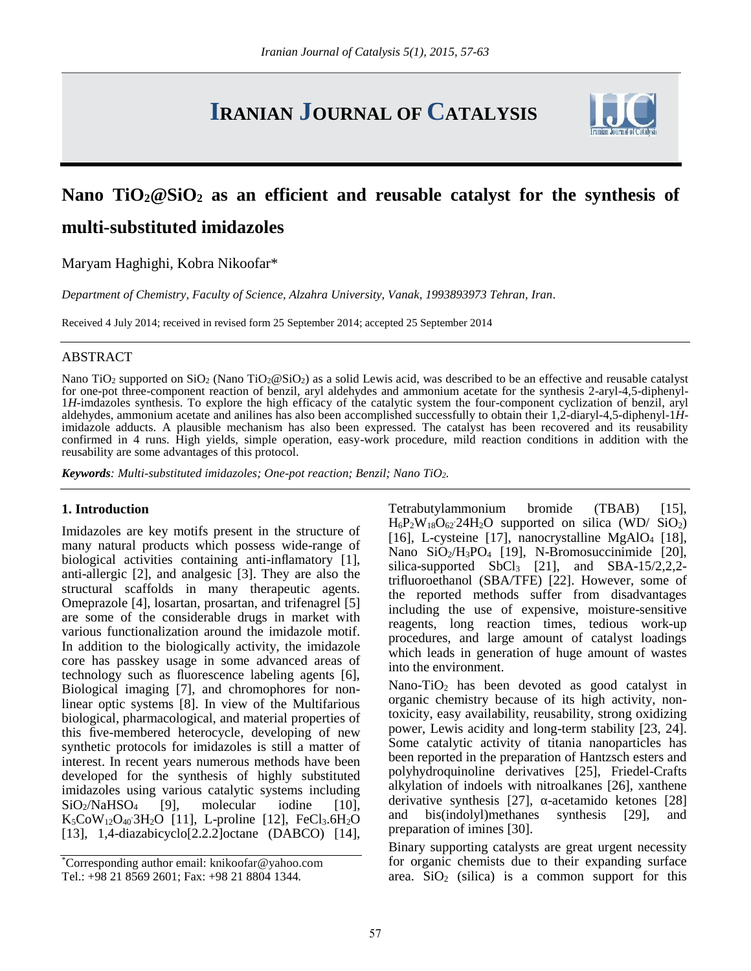# **IRANIAN JOURNAL OF CATALYSIS**



## **Nano TiO2@SiO<sup>2</sup> as an efficient and reusable catalyst for the synthesis of multi-substituted imidazoles**

Maryam Haghighi, Kobra Nikoofar\*

*Department of Chemistry, Faculty of Science, Alzahra University, Vanak, 1993893973 Tehran, Iran.*

Received 4 July 2014; received in revised form 25 September 2014; accepted 25 September 2014

#### ABSTRACT

Nano TiO<sub>2</sub> supported on  $SiO_2$  (Nano TiO<sub>2</sub>@SiO<sub>2</sub>) as a solid Lewis acid, was described to be an effective and reusable catalyst for one-pot three-component reaction of benzil, aryl aldehydes and ammonium acetate for the synthesis 2-aryl-4,5-diphenyl- 1*H*-imdazoles synthesis. To explore the high efficacy of the catalytic system the four-component cyclization of benzil, aryl aldehydes, ammonium acetate and anilines has also been accomplished successfully to obtain their 1,2-diaryl-4,5-diphenyl-1*H*imidazole adducts. A plausible mechanism has also been expressed. The catalyst has been recovered and its reusability confirmed in 4 runs. High yields, simple operation, easy-work procedure, mild reaction conditions in addition with the reusability are some advantages of this protocol.

*Keywords: Multi-substituted imidazoles; One-pot reaction; Benzil; Nano TiO2.*

## **1. Introduction**

Imidazoles are key motifs present in the structure of many natural products which possess wide-range of biological activities containing anti-inflamatory [1], anti-allergic [2], and analgesic [3]. They are also the structural scaffolds in many therapeutic agents. Omeprazole [4], losartan, prosartan, and trifenagrel [5] are some of the considerable drugs in market with various functionalization around the imidazole motif. In addition to the biologically activity, the imidazole core has passkey usage in some advanced areas of technology such as fluorescence labeling agents [6], Biological imaging [7], and chromophores for nonlinear optic systems [8]. In view of the Multifarious biological, pharmacological, and material properties of this five-membered heterocycle, developing of new synthetic protocols for imidazoles is still a matter of interest. In recent years numerous methods have been developed for the synthesis of highly substituted imidazoles using various catalytic systems including  $SiO<sub>2</sub>/NaHSO<sub>4</sub>$  [9], molecular iodine [10],  $K_5CoW_{12}O_{40}3H_2O$  [11], L-proline [12], FeCl<sub>3</sub>.6H<sub>2</sub>O and b [13], 1,4-diazabicyclo<sup>[2,2,2]</sup>octane (DABCO) [14],

Tetrabutylammonium bromide (TBAB) [15],  $H_6P_2W_{18}O_{62}$  24 $H_2O$  supported on silica (WD/SiO<sub>2</sub>) [16], L-cysteine [17], nanocrystalline MgAlO<sub>4</sub> [18], Nano SiO2/H3PO<sup>4</sup> [19], N-Bromosuccinimide [20], silica-supported  $SbCl<sub>3</sub>$  [21], and  $SBA-15/2,2,2$ trifluoroethanol (SBA/TFE) [22]. However, some of the reported methods suffer from disadvantages including the use of expensive, moisture-sensitive reagents, long reaction times, tedious work-up procedures, and large amount of catalyst loadings which leads in generation of huge amount of wastes into the environment.

Nano-TiO<sup>2</sup> has been devoted as good catalyst in organic chemistry because of its high activity, nontoxicity, easy availability, reusability, strong oxidizing power, Lewis acidity and long-term stability [23, 24]. Some catalytic activity of titania nanoparticles has been reported in the preparation of Hantzsch esters and polyhydroquinoline derivatives [25], Friedel-Crafts alkylation of indoels with nitroalkanes [26], xanthene derivative synthesis [27], -acetamido ketones [28] and bis(indolyl)methanes synthesis [29], and preparation of imines [30].

Binary supporting catalysts are great urgent necessity for organic chemists due to their expanding surface area.  $SiO<sub>2</sub>$  (silica) is a common support for this

<sup>\*</sup>Corresponding author email: knikoofar@yahoo.com Tel.: +98 21 8569 2601; Fax: +98 21 8804 1344*.*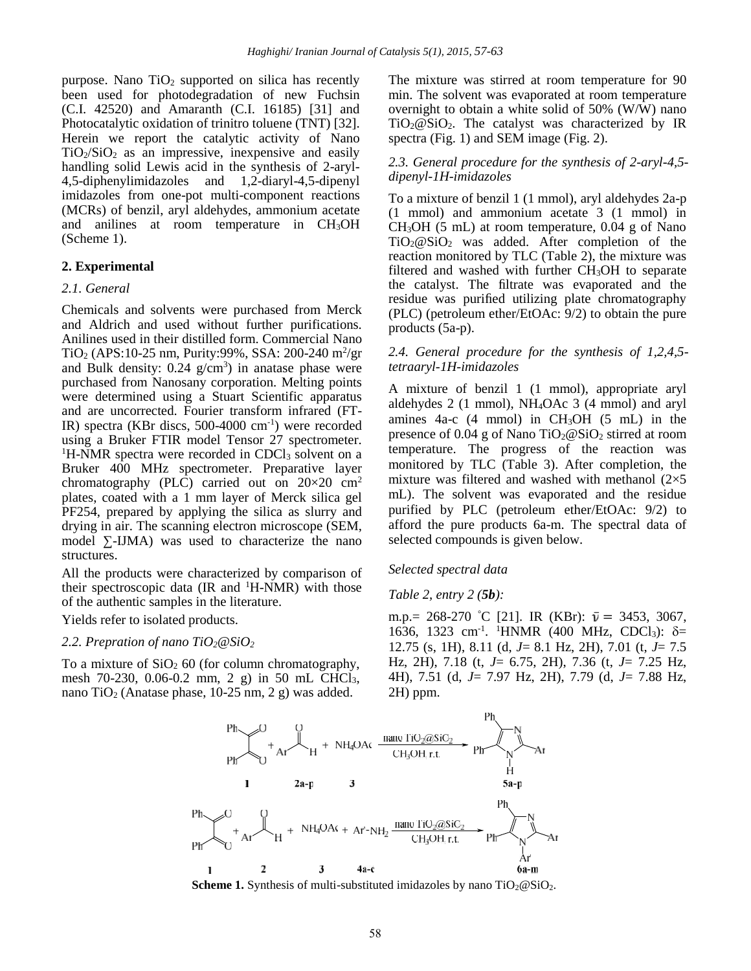purpose. Nano  $TiO<sub>2</sub>$  supported on silica has recently been used for photodegradation of new Fuchsin (C.I. 42520) and Amaranth (C.I. 16185) [31] and Photocatalytic oxidation of trinitro toluene (TNT) [32]. Herein we report the catalytic activity of Nano  $TiO<sub>2</sub>/SiO<sub>2</sub>$  as an impressive, inexpensive and easily handling solid Lewis acid in the synthesis of 2-aryl- 4,5-diphenylimidazoles and 1,2-diaryl-4,5-dipenyl imidazoles from one-pot multi-component reactions (MCRs) of benzil, aryl aldehydes, ammonium acetate and anilines at room temperature in CH3OH (Scheme 1).

## **2. Experimental**

## *2.1. General*

Chemicals and solvents were purchased from Merck and Aldrich and used without further purifications. Anilines used in their distilled form. Commercial Nano  $TiO<sub>2</sub> (APS:10-25 nm, Purity:99%, SSA: 200-240 m<sup>2</sup>/gr$  2 and Bulk density:  $0.24$  g/cm<sup>3</sup>) in anatase phase were purchased from Nanosany corporation. Melting points were determined using a Stuart Scientific apparatus and are uncorrected. Fourier transform infrared (FT-IR) spectra (KBr discs, 500-4000 cm-1) were recorded using a Bruker FTIR model Tensor 27 spectrometer.  ${}^{1}$ H-NMR spectra were recorded in CDCl<sub>3</sub> solvent on a Bruker 400 MHz spectrometer. Preparative layer chromatography (PLC) carried out on  $20 \times 20$  cm<sup>2</sup> plates, coated with a 1 mm layer of Merck silica gel PF254, prepared by applying the silica as slurry and drying in air. The scanning electron microscope (SEM, model -IJMA) was used to characterize the nano structures.

All the products were characterized by comparison of their spectroscopic data (IR and  $^1$ H-NMR) with those of the authentic samples in the literature.

Yields refer to isolated products.

## *2.2. Prepration of nano TiO2@SiO<sup>2</sup>*

To a mixture of  $SiO<sub>2</sub>$  60 (for column chromatography, mesh 70-230, 0.06-0.2 mm, 2 g) in 50 mL CHCl<sub>3</sub>, nano TiO<sub>2</sub> (Anatase phase, 10-25 nm, 2 g) was added.

The mixture was stirred at room temperature for 90 min. The solvent was evaporated at room temperature overnight to obtain a white solid of 50% (W/W) nano  $TiO<sub>2</sub>@SiO<sub>2</sub>$ . The catalyst was characterized by IR spectra (Fig. 1) and SEM image (Fig. 2).

## *2.3. General procedure for the synthesis of 2-aryl-4,5 dipenyl-1H-imidazoles*

To a mixture of benzil 1 (1 mmol), aryl aldehydes 2a-p (1 mmol) and ammonium acetate 3 (1 mmol) in CH3OH (5 mL) at room temperature, 0.04 g of Nano  $TiO<sub>2</sub>@SiO<sub>2</sub>$  was added. After completion of the reaction monitored by TLC (Table 2), the mixture was filtered and washed with further CH<sub>3</sub>OH to separate the catalyst. The filtrate was evaporated and the residue was purified utilizing plate chromatography (PLC) (petroleum ether/EtOAc: 9/2) to obtain the pure products (5a-p).

## *2.4. General procedure for the synthesis of 1,2,4,5 tetraaryl-1H-imidazoles*

A mixture of benzil 1 (1 mmol), appropriate aryl aldehydes 2 (1 mmol), NH4OAc 3 (4 mmol) and aryl amines  $4a-c$  (4 mmol) in CH<sub>3</sub>OH (5 mL) in the presence of  $0.04$  g of Nano TiO<sub>2</sub>@SiO<sub>2</sub> stirred at room temperature. The progress of the reaction was monitored by TLC (Table 3). After completion, the mixture was filtered and washed with methanol  $(2\times5)$ mL). The solvent was evaporated and the residue purified by PLC (petroleum ether/EtOAc: 9/2) to afford the pure products 6a-m. The spectral data of selected compounds is given below.

#### *Selected spectral data*

#### *Table 2, entry 2 (5b):*

m.p.= 268-270 °C [21]. IR (KBr):  $\bar{v}$  = 3453, 3067, 1636, 1323 cm<sup>-1</sup>. <sup>1</sup>HNMR (400 MHz, CDCl<sub>3</sub>):  $\delta$ = 12.75 (s, 1H), 8.11 (d, *J*= 8.1 Hz, 2H), 7.01 (t, *J*= 7.5 Hz, 2H), 7.18 (t, *J*= 6.75, 2H), 7.36 (t, *J*= 7.25 Hz, 4H), 7.51 (d, *J*= 7.97 Hz, 2H), 7.79 (d, *J*= 7.88 Hz, 2H) ppm.



**Scheme 1.** Synthesis of multi-substituted imidazoles by nano  $TiO_2@SiO_2$ .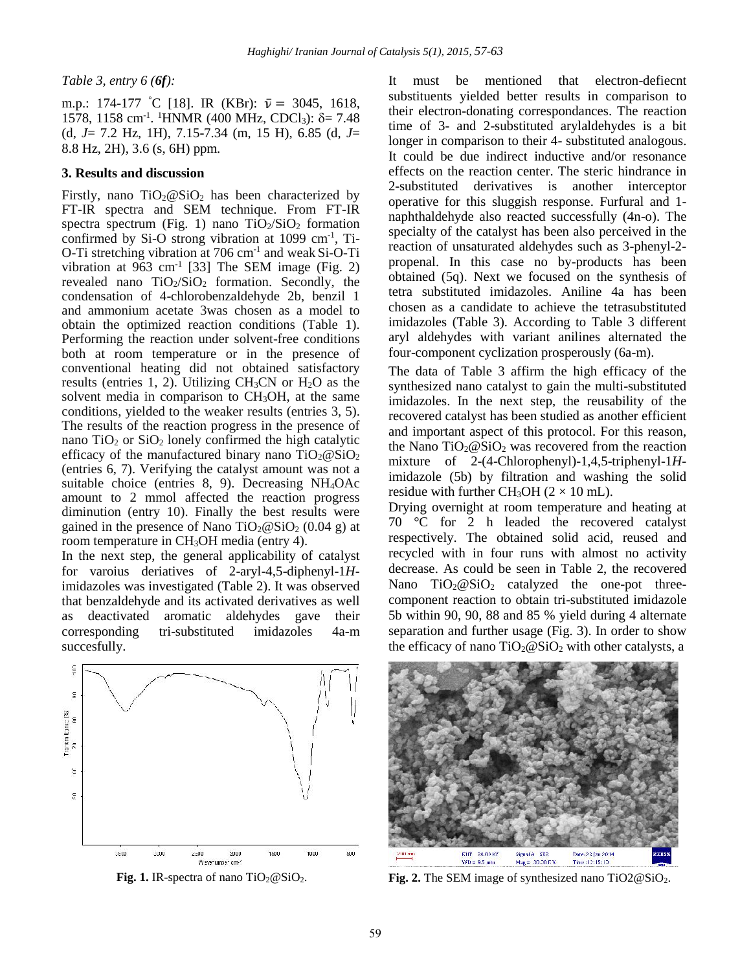*Table 3, entry 6 (6f):*

m.p.: 174-177 °C [18]. IR (KBr):  $\bar{v} = 3045, 1618$ , 1578, 1158 cm<sup>-1</sup>. <sup>1</sup>HNMR (400 MHz, CDCl<sub>3</sub>):  $\delta$  = 7.48 times (d, *J*= 7.2 Hz, 1H), 7.15-7.34 (m, 15 H), 6.85 (d, *J*= 8.8 Hz, 2H), 3.6 (s, 6H) ppm.

## **3. Results and discussion**

Firstly, nano  $TiO<sub>2</sub>@SiO<sub>2</sub>$  has been characterized by FT-IR spectra and SEM technique. From FT-IR spectra spectrum (Fig. 1) nano  $TiO<sub>2</sub>/SiO<sub>2</sub>$  formation confirmed by Si-O strong vibration at 1099 cm<sup>-1</sup>, Ti-O-Ti stretching vibration at  $706 \text{ cm}^{-1}$  and weak Si-O-Ti vibration at  $963 \text{ cm}^{-1}$  [33] The SEM image (Fig. 2) revealed nano  $TiO<sub>2</sub>/SiO<sub>2</sub>$  formation. Secondly, the condensation of 4-chlorobenzaldehyde 2b, benzil 1 and ammonium acetate 3was chosen as a model to obtain the optimized reaction conditions (Table 1). Performing the reaction under solvent-free conditions both at room temperature or in the presence of conventional heating did not obtained satisfactory results (entries 1, 2). Utilizing  $CH<sub>3</sub>CN$  or  $H<sub>2</sub>O$  as the solvent media in comparison to  $CH<sub>3</sub>OH$ , at the same conditions, yielded to the weaker results (entries 3, 5). The results of the reaction progress in the presence of nano  $TiO<sub>2</sub>$  or  $SiO<sub>2</sub>$  lonely confirmed the high catalytic efficacy of the manufactured binary nano  $TiO<sub>2</sub>@SiO<sub>2</sub>$ (entries 6, 7). Verifying the catalyst amount was not a suitable choice (entries 8, 9). Decreasing NH4OAc amount to 2 mmol affected the reaction progress diminution (entry 10). Finally the best results were gained in the presence of Nano  $TiO<sub>2</sub>@SiO<sub>2</sub>$  (0.04 g) at room temperature in CH3OH media (entry 4).

In the next step, the general applicability of catalyst for varoius deriatives of 2-aryl-4,5-diphenyl-1*H*imidazoles was investigated (Table 2). It was observed that benzaldehyde and its activated derivatives as well as deactivated aromatic aldehydes gave their corresponding tri-substituted imidazoles 4a-m succesfully.



**Fig. 1.** IR-spectra of nano  $TiO_2@SiO_2$ .

It must be mentioned that electron-defiecnt substituents yielded better results in comparison to their electron-donating correspondances. The reaction time of 3- and 2-substituted arylaldehydes is a bit longer in comparison to their 4- substituted analogous. It could be due indirect inductive and/or resonance effects on the reaction center. The steric hindrance in 2-substituted derivatives is another interceptor operative for this sluggish response. Furfural and 1 naphthaldehyde also reacted successfully (4n-o). The specialty of the catalyst has been also perceived in the reaction of unsaturated aldehydes such as 3-phenyl-2 propenal. In this case no by-products has been obtained (5q). Next we focused on the synthesis of tetra substituted imidazoles. Aniline 4a has been chosen as a candidate to achieve the tetrasubstituted imidazoles (Table 3). According to Table 3 different aryl aldehydes with variant anilines alternated the four-component cyclization prosperously (6a-m).

The data of Table 3 affirm the high efficacy of the synthesized nano catalyst to gain the multi-substituted imidazoles. In the next step, the reusability of the recovered catalyst has been studied as another efficient and important aspect of this protocol. For this reason, the Nano  $TiO<sub>2</sub>@SiO<sub>2</sub>$  was recovered from the reaction mixture of 2-(4-Chlorophenyl)-1,4,5-triphenyl-1*H*imidazole (5b) by filtration and washing the solid residue with further CH<sub>3</sub>OH ( $2 \times 10$  mL).

Drying overnight at room temperature and heating at 70 °C for 2 h leaded the recovered catalyst respectively. The obtained solid acid, reused and recycled with in four runs with almost no activity decrease. As could be seen in Table 2, the recovered Nano  $TiO<sub>2</sub>@SiO<sub>2</sub>$  catalyzed the one-pot threecomponent reaction to obtain tri-substituted imidazole 5b within 90, 90, 88 and 85 % yield during 4 alternate separation and further usage (Fig. 3). In order to show the efficacy of nano  $TiO<sub>2</sub>@SiO<sub>2</sub>$  with other catalysts, a



**Fig. 2.** The SEM image of synthesized nano TiO2@SiO<sub>2</sub>.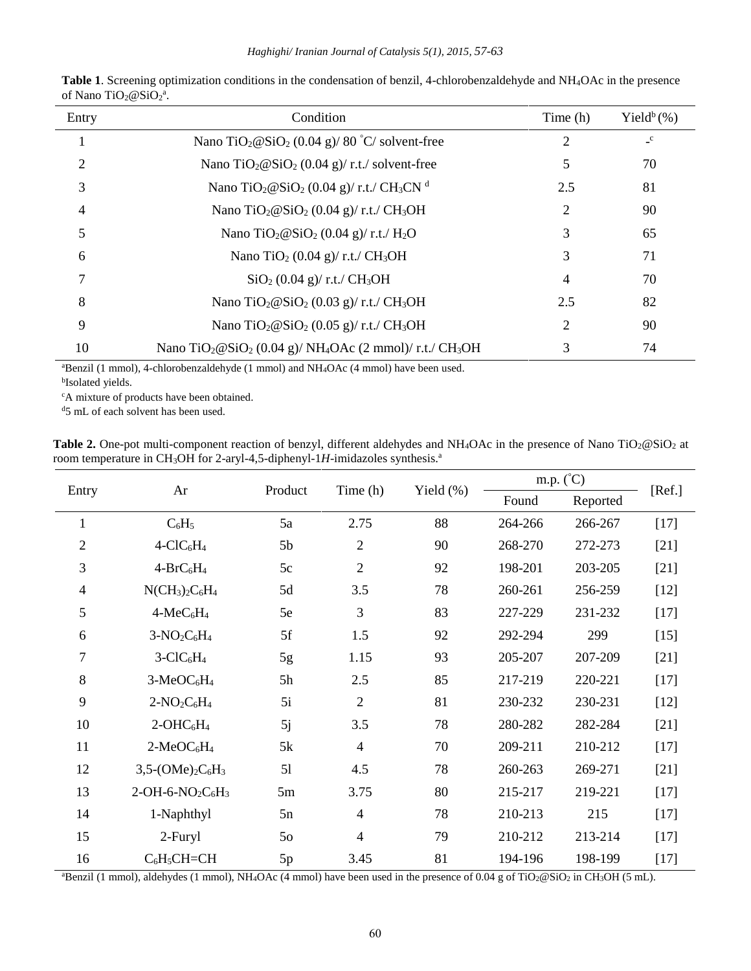| Entry | Condition                                                                                                | Time (h) | Yield <sup>b</sup> $(\%)$ |
|-------|----------------------------------------------------------------------------------------------------------|----------|---------------------------|
|       | Nano TiO <sub>2</sub> $@SiO2 (0.04 g)/80 °C/$ solvent-free                                               | 2        | $\mathbf{C}$              |
| 2     | Nano TiO <sub>2</sub> $@SiO2 (0.04 g)/r.t./$ solvent-free                                                | 5        | 70                        |
| 3     | Nano TiO <sub>2</sub> @SiO <sub>2</sub> (0.04 g)/ r.t./ CH <sub>3</sub> CN <sup>d</sup>                  | 2.5      | 81                        |
| 4     | Nano TiO <sub>2</sub> $@SiO2 (0.04 g)/r.t./CH3OH$                                                        | 2        | 90                        |
| 5     | Nano TiO <sub>2</sub> @SiO <sub>2</sub> (0.04 g)/ r.t./ H <sub>2</sub> O                                 | 3        | 65                        |
| 6     | Nano TiO <sub>2</sub> (0.04 g)/ r.t./ CH <sub>3</sub> OH                                                 | 3        | 71                        |
| 7     | $SiO2$ (0.04 g)/ r.t./ CH <sub>3</sub> OH                                                                | 4        | 70                        |
| 8     | Nano TiO <sub>2</sub> $@SiO2 (0.03 g)/r.t./CH3OH$                                                        | 2.5      | 82                        |
| 9     | Nano TiO <sub>2</sub> $@SiO2 (0.05 g)/r.t./CH3OH$                                                        | 2        | 90                        |
| 10    | Nano TiO <sub>2</sub> @SiO <sub>2</sub> (0.04 g)/ NH <sub>4</sub> OAc (2 mmol)/ r.t./ CH <sub>3</sub> OH | 3        | 74                        |

**Table 1**. Screening optimization conditions in the condensation of benzil, 4-chlorobenzaldehyde and NH4OAc in the presence of Nano TiO<sub>2</sub> $@SiO_2^a$ .

<sup>a</sup>Benzil (1 mmol), 4-chlorobenzaldehyde (1 mmol) and NH<sub>4</sub>OAc (4 mmol) have been used.

b Isolated yields.

<sup>c</sup>A mixture of products have been obtained.

<sup>d</sup>5 mL of each solvent has been used.

| <b>Table 2.</b> One-pot multi-component reaction of benzyl, different aldehydes and NH <sub>4</sub> OAc in the presence of Nano TiO <sub>2</sub> @SiO <sub>2</sub> at |  |
|-----------------------------------------------------------------------------------------------------------------------------------------------------------------------|--|
| room temperature in CH <sub>3</sub> OH for 2-aryl-4,5-diphenyl-1H-imidazoles synthesis. <sup>a</sup>                                                                  |  |

| Entry          | Ar                        | Product        | Time (h)       | Yield (%) | m.p. $(^{\circ}C)$ |          | [Ref.] |
|----------------|---------------------------|----------------|----------------|-----------|--------------------|----------|--------|
|                |                           |                |                |           | Found              | Reported |        |
| $\mathbf{1}$   | $C_6H_5$                  | 5a             | 2.75           | 88        | 264-266            | 266-267  | $[17]$ |
| $\overline{2}$ | $4-CIC6H4$                | 5 <sub>b</sub> | $\overline{2}$ | 90        | 268-270            | 272-273  | $[21]$ |
| 3              | $4-BrC_6H_4$              | 5c             | $\overline{2}$ | 92        | 198-201            | 203-205  | $[21]$ |
| 4              | $NCH_3)_2C_6H_4$          | 5d             | 3.5            | 78        | 260-261            | 256-259  | $[12]$ |
| 5              | $4-MeC6H4$                | 5e             | 3              | 83        | 227-229            | 231-232  | $[17]$ |
| 6              | $3-NO_2C_6H_4$            | 5f             | 1.5            | 92        | 292-294            | 299      | $[15]$ |
| 7              | $3-CIC6H4$                | 5g             | 1.15           | 93        | 205-207            | 207-209  | $[21]$ |
| 8              | $3-MeOC6H4$               | 5h             | 2.5            | 85        | 217-219            | 220-221  | $[17]$ |
| 9              | $2-NO_2C_6H_4$            | 5i             | $\overline{2}$ | 81        | 230-232            | 230-231  | $[12]$ |
| 10             | $2-OHC6H4$                | 5j             | 3.5            | 78        | 280-282            | 282-284  | $[21]$ |
| 11             | $2-MeOC6H4$               | 5k             | $\overline{4}$ | 70        | 209-211            | 210-212  | $[17]$ |
| 12             | $3,5-(OMe)_{2}C_{6}H_{3}$ | 51             | 4.5            | 78        | 260-263            | 269-271  | $[21]$ |
| 13             | $2-OH-6-NO2C6H3$          | 5m             | 3.75           | 80        | 215-217            | 219-221  | $[17]$ |
| 14             | 1-Naphthyl                | 5n             | $\overline{4}$ | 78        | 210-213            | 215      | $[17]$ |
| 15             | 2-Furyl                   | 50             | $\overline{4}$ | 79        | 210-212            | 213-214  | $[17]$ |
| 16             | $C_6H_5CH=CH$             | 5p             | 3.45           | 81        | 194-196            | 198-199  | $[17]$ |

<sup>a</sup>Benzil (1 mmol), aldehydes (1 mmol), NH<sub>4</sub>OAc (4 mmol) have been used in the presence of 0.04 g of TiO<sub>2</sub>@SiO<sub>2</sub> in CH<sub>3</sub>OH (5 mL).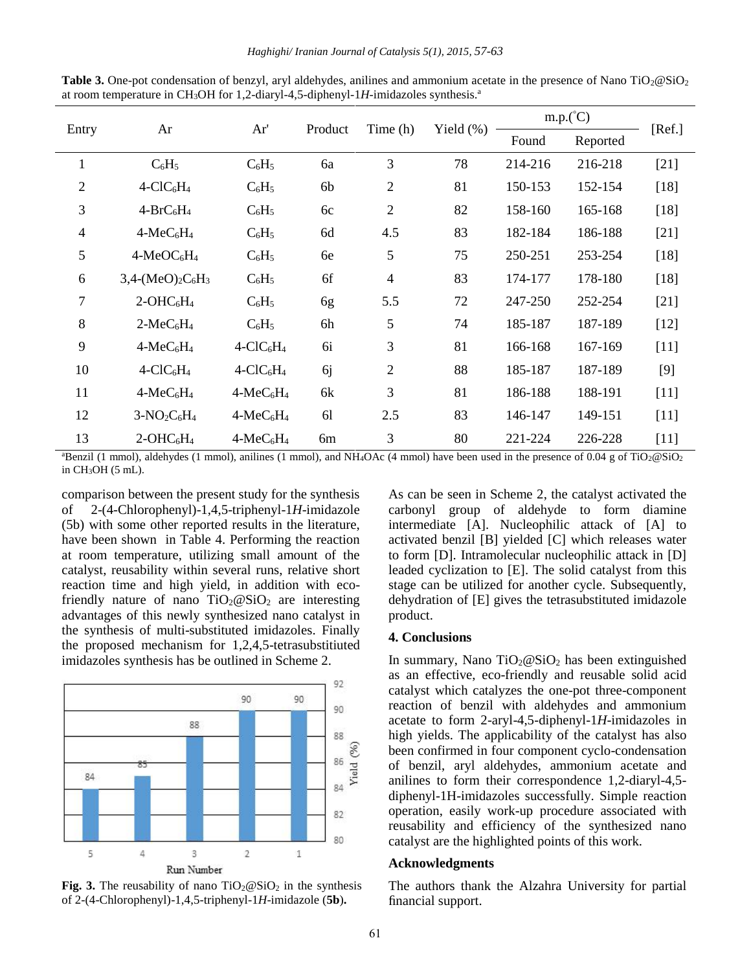| Entry          | Ar                                   | Ar'        | Product       | Time (h)       | Yield $(\% )$ | $m.p.(^{\circ}C)$ |          | [Ref.] |
|----------------|--------------------------------------|------------|---------------|----------------|---------------|-------------------|----------|--------|
|                |                                      |            |               |                |               | Found             | Reported |        |
| $\mathbf{1}$   | $C_6H_5$                             | $C_6H_5$   | 6a            | 3              | 78            | 214-216           | 216-218  | $[21]$ |
| $\overline{2}$ | $4$ -ClC <sub>6</sub> H <sub>4</sub> | $C_6H_5$   | 6b            | $\mathbf{2}$   | 81            | 150-153           | 152-154  | $[18]$ |
| 3              | $4-BrC_6H_4$                         | $C_6H_5$   | 6c            | $\mathfrak{2}$ | 82            | 158-160           | 165-168  | $[18]$ |
| $\overline{4}$ | $4-MeC6H4$                           | $C_6H_5$   | 6d            | 4.5            | 83            | 182-184           | 186-188  | $[21]$ |
| 5              | $4-MeOC6H4$                          | $C_6H_5$   | 6e            | 5              | 75            | 250-251           | 253-254  | $[18]$ |
| 6              | $3,4-(MeO)2C6H3$                     | $C_6H_5$   | 6f            | $\overline{4}$ | 83            | 174-177           | 178-180  | $[18]$ |
| $\overline{7}$ | $2-OHC6H4$                           | $C_6H_5$   | 6g            | 5.5            | 72            | 247-250           | 252-254  | $[21]$ |
| 8              | $2-MeC6H4$                           | $C_6H_5$   | 6h            | 5              | 74            | 185-187           | 187-189  | $[12]$ |
| 9              | $4-MeC6H4$                           | $4-CIC6H4$ | 6i            | 3              | 81            | 166-168           | 167-169  | $[11]$ |
| 10             | $4-CIC6H4$                           | $4-CIC6H4$ | <sub>6j</sub> | $\mathfrak{2}$ | 88            | 185-187           | 187-189  | $[9]$  |
| 11             | $4-MeC6H4$                           | $4-MeC6H4$ | 6k            | $\overline{3}$ | 81            | 186-188           | 188-191  | $[11]$ |
| 12             | $3-NO2C6H4$                          | $4-MeC6H4$ | 61            | 2.5            | 83            | 146-147           | 149-151  | $[11]$ |
| 13             | $2-OHC6H4$                           | $4-MeC6H4$ | 6m            | 3              | 80            | 221-224           | 226-228  | $[11]$ |

**Table 3.** One-pot condensation of benzyl, aryl aldehydes, anilines and ammonium acetate in the presence of Nano TiO<sub>2</sub>@SiO<sub>2</sub> at room temperature in CH<sub>3</sub>OH for 1,2-diaryl-4,5-diphenyl-1H-imidazoles synthesis.<sup>a</sup>

<sup>a</sup>Benzil (1 mmol), aldehydes (1 mmol), anilines (1 mmol), and NH<sub>4</sub>OAc (4 mmol) have been used in the presence of 0.04 g of TiO<sub>2</sub>@SiO<sub>2</sub> in CH3OH (5 mL).

comparison between the present study for the synthesis of 2-(4-Chlorophenyl)-1,4,5-triphenyl-1*H*-imidazole (5b) with some other reported results in the literature, have been shown in Table 4. Performing the reaction at room temperature, utilizing small amount of the catalyst, reusability within several runs, relative short reaction time and high yield, in addition with ecofriendly nature of nano  $TiO<sub>2</sub>@SiO<sub>2</sub>$  are interesting advantages of this newly synthesized nano catalyst in the synthesis of multi-substituted imidazoles. Finally the proposed mechanism for 1,2,4,5-tetrasubstitiuted imidazoles synthesis has be outlined in Scheme 2.



**Fig.** 3. The reusability of nano  $TiO_2@SiO_2$  in the synthesis of 2-(4-Chlorophenyl)-1,4,5-triphenyl-1*H*-imidazole (**5b**)**.**

As can be seen in Scheme 2, the catalyst activated the carbonyl group of aldehyde to form diamine intermediate [A]. Nucleophilic attack of [A] to activated benzil [B] yielded [C] which releases water to form [D]. Intramolecular nucleophilic attack in [D] leaded cyclization to [E]. The solid catalyst from this stage can be utilized for another cycle. Subsequently, dehydration of [E] gives the tetrasubstituted imidazole product.

#### **4. Conclusions**

In summary, Nano  $TiO<sub>2</sub>@SiO<sub>2</sub>$  has been extinguished as an effective, eco-friendly and reusable solid acid catalyst which catalyzes the one-pot three-component reaction of benzil with aldehydes and ammonium acetate to form 2-aryl-4,5-diphenyl-1*H*-imidazoles in high yields. The applicability of the catalyst has also been confirmed in four component cyclo-condensation of benzil, aryl aldehydes, ammonium acetate and anilines to form their correspondence 1,2-diaryl-4,5 diphenyl-1H-imidazoles successfully. Simple reaction operation, easily work-up procedure associated with reusability and efficiency of the synthesized nano catalyst are the highlighted points of this work.

#### **Acknowledgments**

The authors thank the Alzahra University for partial financial support.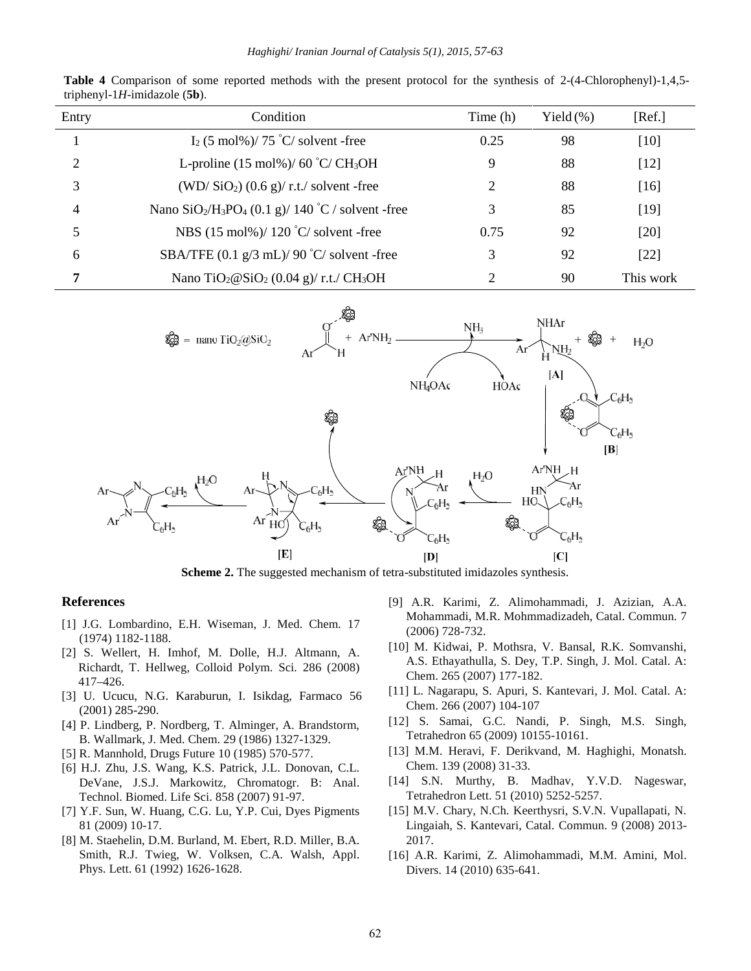| Entry          | Condition                                                                             | Time (h) | Yield $(\%)$ | [Ref.]    |
|----------------|---------------------------------------------------------------------------------------|----------|--------------|-----------|
|                | $I_2$ (5 mol%)/ 75 °C/ solvent -free                                                  | 0.25     | 98           | [10]      |
| 2              | L-proline $(15 \text{ mol\%})/60 \degree C/CH_3OH$                                    | 9        | 88           | $[12]$    |
| 3              | $(WD/SiO2)$ (0.6 g)/ r.t./ solvent -free                                              | 2        | 88           | [16]      |
| $\overline{4}$ | Nano SiO <sub>2</sub> /H <sub>3</sub> PO <sub>4</sub> (0.1 g)/ 140 °C / solvent -free | 3        | 85           | $[19]$    |
| 5              | NBS $(15 \text{ mol\%})/120 \degree C/$ solvent -free                                 | 0.75     | 92           | [20]      |
| 6              | SBA/TFE $(0.1 \text{ g}/3 \text{ mL})/90 \degree C/$ solvent -free                    | 3        | 92           | [22]      |
| 7              | Nano TiO <sub>2</sub> $@SiO2 (0.04 g)/r.t./ CH3OH$                                    | ◠        | 90           | This work |

**Table 4** Comparison of some reported methods with the present protocol for the synthesis of 2-(4-Chlorophenyl)-1,4,5 triphenyl-1*H*-imidazole (**5b**).



**Scheme 2.** The suggested mechanism of tetra-substituted imidazoles synthesis.

#### **References**

- [1] J.G. Lombardino, E.H. Wiseman, J. Med. Chem. 17 (1974) 1182-1188.
- [2] S. Wellert, H. Imhof, M. Dolle, H.J. Altmann, A. Richardt, T. Hellweg*,* Colloid Polym. Sci*.* 286 (2008) 417–426.
- [3] U. Ucucu, N.G. Karaburun, I. Isikdag, Farmaco 56 (2001) 285-290.
- [4] P. Lindberg, P. Nordberg, T. Alminger, A. Brandstorm, B. Wallmark, J. Med. Chem. 29 (1986) 1327-1329.
- [5] R. Mannhold, Drugs Future 10 (1985) 570-577.
- [6] H.J. Zhu, J.S. Wang, K.S. Patrick, J.L. Donovan, C.L. DeVane, J.S.J. Markowitz, Chromatogr. B: Anal. Technol. Biomed. Life Sci. 858 (2007) 91-97.
- [7] Y.F. Sun, W. Huang, C.G. Lu, Y.P. Cui, Dyes Pigments 81 (2009) 10-17.
- [8] M. Staehelin, D.M. Burland, M. Ebert, R.D. Miller, B.A. Smith, R.J. Twieg, W. Volksen, C.A. Walsh, Appl. Phys. Lett. 61 (1992) 1626-1628.
- [9] A.R. Karimi, Z. Alimohammadi, J. Azizian, A.A. Mohammadi, M.R. Mohmmadizadeh, Catal. Commun. 7 (2006) 728-732.
- [10] M. Kidwai, P. Mothsra, V. Bansal, R.K. Somvanshi, A.S. Ethayathulla, S. Dey, T.P. Singh, J. Mol. Catal. A: Chem. 265 (2007) 177-182.
- [11] L. Nagarapu, S. Apuri, S. Kantevari, J. Mol. Catal. A: Chem. 266 (2007) 104-107
- [12] S. Samai, G.C. Nandi, P. Singh, M.S. Singh, Tetrahedron 65 (2009) 10155-10161.
- [13] M.M. Heravi, F. Derikvand, M. Haghighi, Monatsh. Chem. 139 (2008) 31-33.
- [14] S.N. Murthy, B. Madhav, Y.V.D. Nageswar, Tetrahedron Lett. 51 (2010) 5252-5257.
- [15] M.V. Chary, N.Ch. Keerthysri, S.V.N. Vupallapati, N. Lingaiah, S. Kantevari, Catal. Commun. 9 (2008) 2013- 2017.
- [16] A.R. Karimi, Z. Alimohammadi, M.M. Amini, Mol. Divers. 14 (2010) 635-641.